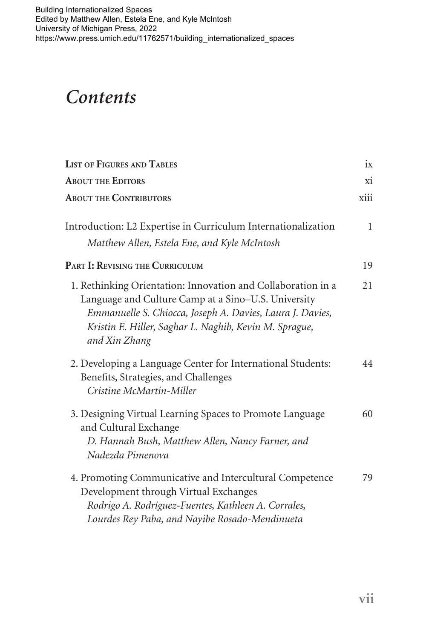## *Contents*

| <b>LIST OF FIGURES AND TABLES</b>                                                                                                                                                                                                                           | ix           |
|-------------------------------------------------------------------------------------------------------------------------------------------------------------------------------------------------------------------------------------------------------------|--------------|
| <b>ABOUT THE EDITORS</b>                                                                                                                                                                                                                                    | xi           |
| <b>ABOUT THE CONTRIBUTORS</b>                                                                                                                                                                                                                               | xiii         |
| Introduction: L2 Expertise in Curriculum Internationalization<br>Matthew Allen, Estela Ene, and Kyle McIntosh                                                                                                                                               | $\mathbf{1}$ |
| PART I: REVISING THE CURRICULUM                                                                                                                                                                                                                             | 19           |
| 1. Rethinking Orientation: Innovation and Collaboration in a<br>Language and Culture Camp at a Sino-U.S. University<br>Emmanuelle S. Chiocca, Joseph A. Davies, Laura J. Davies,<br>Kristin E. Hiller, Saghar L. Naghib, Kevin M. Sprague,<br>and Xin Zhang | 21           |
| 2. Developing a Language Center for International Students:<br>Benefits, Strategies, and Challenges<br>Cristine McMartin-Miller                                                                                                                             | 44           |
| 3. Designing Virtual Learning Spaces to Promote Language<br>and Cultural Exchange<br>D. Hannah Bush, Matthew Allen, Nancy Farner, and<br>Nadezda Pimenova                                                                                                   | 60           |
| 4. Promoting Communicative and Intercultural Competence<br>Development through Virtual Exchanges<br>Rodrigo A. Rodríguez-Fuentes, Kathleen A. Corrales,<br>Lourdes Rey Paba, and Nayibe Rosado-Mendinueta                                                   | 79           |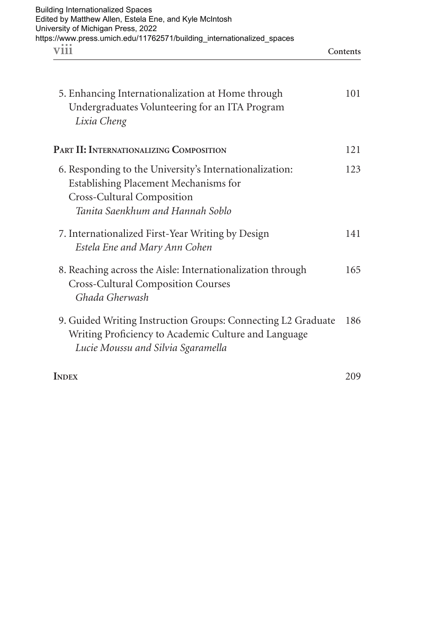| <b>Building Internationalized Spaces</b>                               |          |
|------------------------------------------------------------------------|----------|
| Edited by Matthew Allen, Estela Ene, and Kyle McIntosh                 |          |
| University of Michigan Press, 2022                                     |          |
| https://www.press.umich.edu/11762571/building internationalized spaces |          |
| V111                                                                   | Contents |

| 5. Enhancing Internationalization at Home through<br>Undergraduates Volunteering for an ITA Program<br>Lixia Cheng                                                 | 101 |
|--------------------------------------------------------------------------------------------------------------------------------------------------------------------|-----|
| PART II: INTERNATIONALIZING COMPOSITION                                                                                                                            | 121 |
| 6. Responding to the University's Internationalization:<br>Establishing Placement Mechanisms for<br>Cross-Cultural Composition<br>Tanita Saenkhum and Hannah Soblo | 123 |
| 7. Internationalized First-Year Writing by Design<br>Estela Ene and Mary Ann Cohen                                                                                 | 141 |
| 8. Reaching across the Aisle: Internationalization through<br><b>Cross-Cultural Composition Courses</b><br>Ghada Gherwash                                          | 165 |
| 9. Guided Writing Instruction Groups: Connecting L2 Graduate<br>Writing Proficiency to Academic Culture and Language<br>Lucie Moussu and Silvia Sgaramella         | 186 |
| <b>INDEX</b>                                                                                                                                                       | 209 |